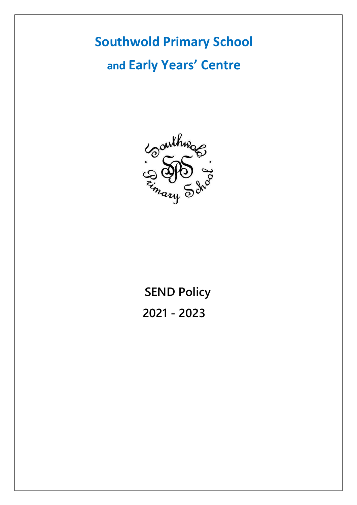# **Southwold Primary School and Early Years' Centre**



**SEND Policy 2021 - 2023**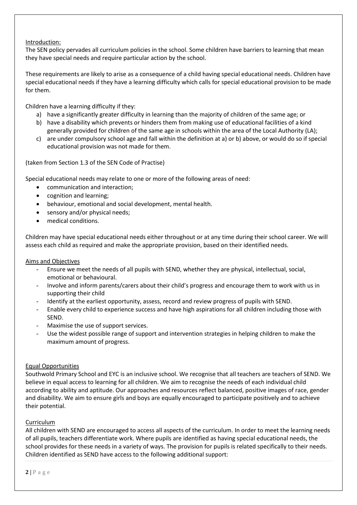## Introduction:

The SEN policy pervades all curriculum policies in the school. Some children have barriers to learning that mean they have special needs and require particular action by the school.

These requirements are likely to arise as a consequence of a child having special educational needs. Children have special educational needs if they have a learning difficulty which calls for special educational provision to be made for them.

Children have a learning difficulty if they:

- a) have a significantly greater difficulty in learning than the majority of children of the same age; or
- b) have a disability which prevents or hinders them from making use of educational facilities of a kind generally provided for children of the same age in schools within the area of the Local Authority (LA);
- c) are under compulsory school age and fall within the definition at a) or b) above, or would do so if special educational provision was not made for them.

(taken from Section 1.3 of the SEN Code of Practise)

Special educational needs may relate to one or more of the following areas of need:

- communication and interaction;
- cognition and learning;
- behaviour, emotional and social development, mental health.
- sensory and/or physical needs;
- medical conditions.

Children may have special educational needs either throughout or at any time during their school career. We will assess each child as required and make the appropriate provision, based on their identified needs.

Aims and Objectives

- Ensure we meet the needs of all pupils with SEND, whether they are physical, intellectual, social, emotional or behavioural.
- Involve and inform parents/carers about their child's progress and encourage them to work with us in supporting their child
- Identify at the earliest opportunity, assess, record and review progress of pupils with SEND.
- Enable every child to experience success and have high aspirations for all children including those with SEND.
- Maximise the use of support services.
- Use the widest possible range of support and intervention strategies in helping children to make the maximum amount of progress.

## Equal Opportunities

Southwold Primary School and EYC is an inclusive school. We recognise that all teachers are teachers of SEND. We believe in equal access to learning for all children. We aim to recognise the needs of each individual child according to ability and aptitude. Our approaches and resources reflect balanced, positive images of race, gender and disability. We aim to ensure girls and boys are equally encouraged to participate positively and to achieve their potential.

## Curriculum

All children with SEND are encouraged to access all aspects of the curriculum. In order to meet the learning needs of all pupils, teachers differentiate work. Where pupils are identified as having special educational needs, the school provides for these needs in a variety of ways. The provision for pupils is related specifically to their needs. Children identified as SEND have access to the following additional support: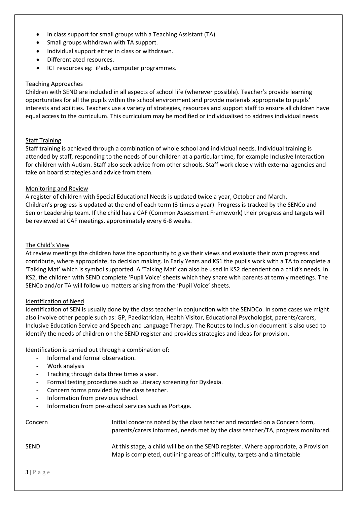- In class support for small groups with a Teaching Assistant (TA).
- Small groups withdrawn with TA support.
- Individual support either in class or withdrawn.
- Differentiated resources.
- ICT resources eg: iPads, computer programmes.

#### Teaching Approaches

Children with SEND are included in all aspects of school life (wherever possible). Teacher's provide learning opportunities for all the pupils within the school environment and provide materials appropriate to pupils' interests and abilities. Teachers use a variety of strategies, resources and support staff to ensure all children have equal access to the curriculum. This curriculum may be modified or individualised to address individual needs.

### Staff Training

Staff training is achieved through a combination of whole school and individual needs. Individual training is attended by staff, responding to the needs of our children at a particular time, for example Inclusive Interaction for children with Autism. Staff also seek advice from other schools. Staff work closely with external agencies and take on board strategies and advice from them.

#### Monitoring and Review

A register of children with Special Educational Needs is updated twice a year, October and March. Children's progress is updated at the end of each term (3 times a year). Progress is tracked by the SENCo and Senior Leadership team. If the child has a CAF (Common Assessment Framework) their progress and targets will be reviewed at CAF meetings, approximately every 6-8 weeks.

#### The Child's View

At review meetings the children have the opportunity to give their views and evaluate their own progress and contribute, where appropriate, to decision making. In Early Years and KS1 the pupils work with a TA to complete a 'Talking Mat' which is symbol supported. A 'Talking Mat' can also be used in KS2 dependent on a child's needs. In KS2, the children with SEND complete 'Pupil Voice' sheets which they share with parents at termly meetings. The SENCo and/or TA will follow up matters arising from the 'Pupil Voice' sheets.

#### Identification of Need

Identification of SEN is usually done by the class teacher in conjunction with the SENDCo. In some cases we might also involve other people such as: GP, Paediatrician, Health Visitor, Educational Psychologist, parents/carers, Inclusive Education Service and Speech and Language Therapy. The Routes to Inclusion document is also used to identify the needs of children on the SEND register and provides strategies and ideas for provision.

Identification is carried out through a combination of:

- Informal and formal observation.
- Work analysis
- Tracking through data three times a vear.
- Formal testing procedures such as Literacy screening for Dyslexia.
- Concern forms provided by the class teacher.
- Information from previous school.
- Information from pre-school services such as Portage.

| Concern     | Initial concerns noted by the class teacher and recorded on a Concern form,<br>parents/carers informed, needs met by the class teacher/TA, progress monitored.  |
|-------------|-----------------------------------------------------------------------------------------------------------------------------------------------------------------|
| <b>SEND</b> | At this stage, a child will be on the SEND register. Where appropriate, a Provision<br>Map is completed, outlining areas of difficulty, targets and a timetable |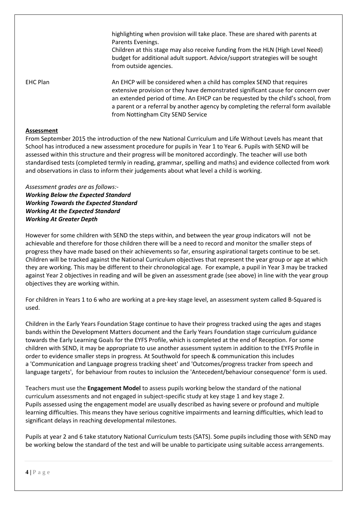highlighting when provision will take place. These are shared with parents at Parents Evenings.

Children at this stage may also receive funding from the HLN (High Level Need) budget for additional adult support. Advice/support strategies will be sought from outside agencies.

EHC Plan An EHCP will be considered when a child has complex SEND that requires extensive provision or they have demonstrated significant cause for concern over an extended period of time. An EHCP can be requested by the child's school, from a parent or a referral by another agency by completing the referral form available from Nottingham City SEND Service

## **Assessment**

From September 2015 the introduction of the new National Curriculum and Life Without Levels has meant that School has introduced a new assessment procedure for pupils in Year 1 to Year 6. Pupils with SEND will be assessed within this structure and their progress will be monitored accordingly. The teacher will use both standardised tests (completed termly in reading, grammar, spelling and maths) and evidence collected from work and observations in class to inform their judgements about what level a child is working.

*Assessment grades are as follows:- Working Below the Expected Standard Working Towards the Expected Standard Working At the Expected Standard Working At Greater Depth*

However for some children with SEND the steps within, and between the year group indicators will not be achievable and therefore for those children there will be a need to record and monitor the smaller steps of progress they have made based on their achievements so far, ensuring aspirational targets continue to be set. Children will be tracked against the National Curriculum objectives that represent the year group or age at which they are working. This may be different to their chronological age. For example, a pupil in Year 3 may be tracked against Year 2 objectives in reading and will be given an assessment grade (see above) in line with the year group objectives they are working within.

For children in Years 1 to 6 who are working at a pre-key stage level, an assessment system called B-Squared is used.

Children in the Early Years Foundation Stage continue to have their progress tracked using the ages and stages bands within the Development Matters document and the Early Years Foundation stage curriculum guidance towards the Early Learning Goals for the EYFS Profile, which is completed at the end of Reception. For some children with SEND, it may be appropriate to use another assessment system in addition to the EYFS Profile in order to evidence smaller steps in progress. At Southwold for speech & communication this includes a 'Communication and Language progress tracking sheet' and 'Outcomes/progress tracker from speech and language targets', for behaviour from routes to inclusion the 'Antecedent/behaviour consequence' form is used.

Teachers must use the **Engagement Model** to assess pupils working below the standard of the national curriculum assessments and not engaged in subject-specific study at key stage 1 and key stage 2. Pupils assessed using the engagement model are usually described as having severe or profound and multiple learning difficulties. This means they have serious cognitive impairments and learning difficulties, which lead to significant delays in reaching developmental milestones.

Pupils at year 2 and 6 take statutory National Curriculum tests (SATS). Some pupils including those with SEND may be working below the standard of the test and will be unable to participate using suitable access arrangements.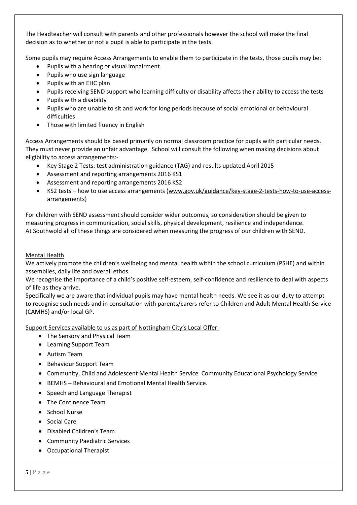The Headteacher will consult with parents and other professionals however the school will make the final decision as to whether or not a pupil is able to participate in the tests.

Some pupils may require Access Arrangements to enable them to participate in the tests, those pupils may be:

- Pupils with a hearing or visual impairment
- Pupils who use sign language
- Pupils with an EHC plan
- Pupils receiving SEND support who learning difficulty or disability affects their ability to access the tests
- Pupils with a disability
- Pupils who are unable to sit and work for long periods because of social emotional or behavioural difficulties
- Those with limited fluency in English

Access Arrangements should be based primarily on normal classroom practice for pupils with particular needs. They must never provide an unfair advantage. School will consult the following when making decisions about eligibility to access arrangements:-

- Key Stage 2 Tests: test administration guidance (TAG) and results updated April 2015
- Assessment and reporting arrangements 2016 KS1
- Assessment and reporting arrangements 2016 KS2
- KS2 tests how to use access arrangements [\(www.gov.uk/guidance/key-stage-2-tests-how-to-use-access](http://www.gov.uk/guidance/key-stage-2-tests-how-to-use-access-arrangements)[arrangements\)](http://www.gov.uk/guidance/key-stage-2-tests-how-to-use-access-arrangements)

For children with SEND assessment should consider wider outcomes, so consideration should be given to measuring progress in communication, social skills, physical development, resilience and independence. At Southwold all of these things are considered when measuring the progress of our children with SEND.

### Mental Health

We actively promote the children's wellbeing and mental health within the school curriculum (PSHE) and within assemblies, daily life and overall ethos.

We recognise the importance of a child's positive self-esteem, self-confidence and resilience to deal with aspects of life as they arrive.

Specifically we are aware that individual pupils may have mental health needs. We see it as our duty to attempt to recognise such needs and in consultation with parents/carers refer to Children and Adult Mental Health Service (CAMHS) and/or local GP.

Support Services available to us as part of Nottingham City's Local Offer:

- The Sensory and Physical Team
- Learning Support Team
- Autism Team
- Behaviour Support Team
- Community, Child and Adolescent Mental Health Service Community Educational Psychology Service
- BEMHS Behavioural and Emotional Mental Health Service.
- Speech and Language Therapist
- The Continence Team
- School Nurse
- Social Care
- Disabled Children's Team
- Community Paediatric Services
- Occupational Therapist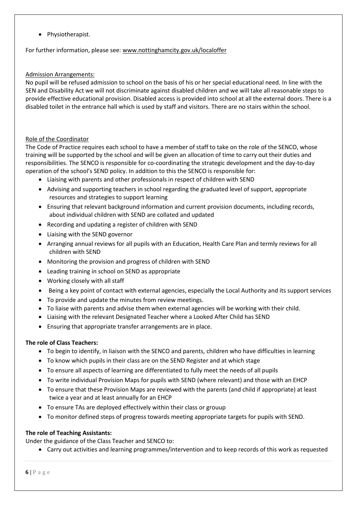• Physiotherapist.

For further information, please see: [www.nottinghamcity.gov.uk/localoffer](http://www.nottinghamcity.gov.uk/localoffer)

## Admission Arrangements:

No pupil will be refused admission to school on the basis of his or her special educational need. In line with the SEN and Disability Act we will not discriminate against disabled children and we will take all reasonable steps to provide effective educational provision. Disabled access is provided into school at all the external doors. There is a disabled toilet in the entrance hall which is used by staff and visitors. There are no stairs within the school.

## Role of the Coordinator

The Code of Practice requires each school to have a member of staff to take on the role of the SENCO, whose training will be supported by the school and will be given an allocation of time to carry out their duties and responsibilities. The SENCO is responsible for co-coordinating the strategic development and the day-to-day operation of the school's SEND policy. In addition to this the SENCO is responsible for:

- Liaising with parents and other professionals in respect of children with SEND
- Advising and supporting teachers in school regarding the graduated level of support, appropriate resources and strategies to support learning
- Ensuring that relevant background information and current provision documents, including records, about individual children with SEND are collated and updated
- Recording and updating a register of children with SEND
- Liaising with the SEND governor
- Arranging annual reviews for all pupils with an Education, Health Care Plan and termly reviews for all children with SEND
- Monitoring the provision and progress of children with SEND
- Leading training in school on SEND as appropriate
- Working closely with all staff
- Being a key point of contact with external agencies, especially the Local Authority and its support services
- To provide and update the minutes from review meetings.
- To liaise with parents and advise them when external agencies will be working with their child.
- Liaising with the relevant Designated Teacher where a Looked After Child has SEND
- Ensuring that appropriate transfer arrangements are in place.

## **The role of Class Teachers:**

- To begin to identify, in liaison with the SENCO and parents, children who have difficulties in learning
- To know which pupils in their class are on the SEND Register and at which stage
- To ensure all aspects of learning are differentiated to fully meet the needs of all pupils
- To write individual Provision Maps for pupils with SEND (where relevant) and those with an EHCP
- To ensure that these Provision Maps are reviewed with the parents (and child if appropriate) at least twice a year and at least annually for an EHCP
- To ensure TAs are deployed effectively within their class or grouup
- To monitor defined steps of progress towards meeting appropriate targets for pupils with SEND.

## **The role of Teaching Assistants:**

Under the guidance of the Class Teacher and SENCO to:

• Carry out activities and learning programmes/intervention and to keep records of this work as requested